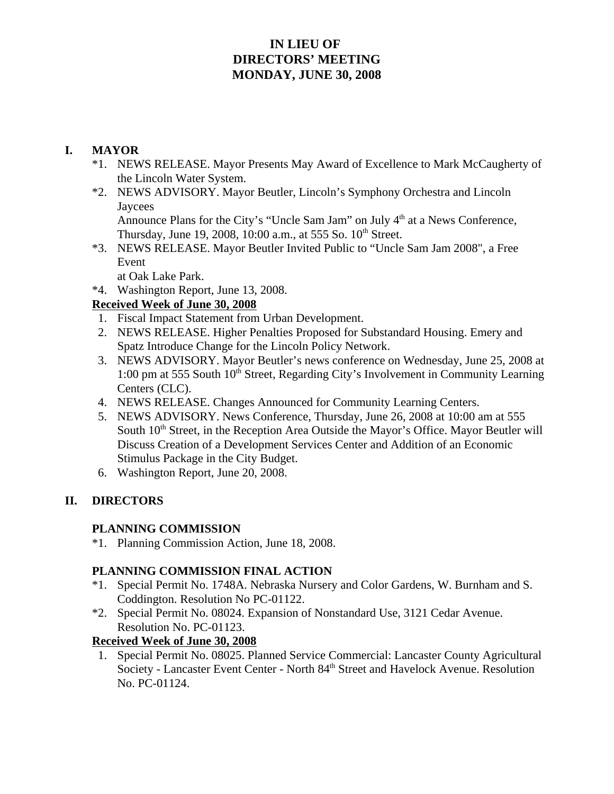# **IN LIEU OF DIRECTORS' MEETING MONDAY, JUNE 30, 2008**

#### **I. MAYOR**

- \*1. NEWS RELEASE. Mayor Presents May Award of Excellence to Mark McCaugherty of the Lincoln Water System.
- \*2. NEWS ADVISORY. Mayor Beutler, Lincoln's Symphony Orchestra and Lincoln **Jaycees**

Announce Plans for the City's "Uncle Sam Jam" on July 4<sup>th</sup> at a News Conference, Thursday, June 19, 2008, 10:00 a.m., at 555 So. 10<sup>th</sup> Street.

\*3. NEWS RELEASE. Mayor Beutler Invited Public to "Uncle Sam Jam 2008", a Free Event

at Oak Lake Park.

\*4. Washington Report, June 13, 2008.

## **Received Week of June 30, 2008**

- 1. Fiscal Impact Statement from Urban Development.
- 2. NEWS RELEASE. Higher Penalties Proposed for Substandard Housing. Emery and Spatz Introduce Change for the Lincoln Policy Network.
- 3. NEWS ADVISORY. Mayor Beutler's news conference on Wednesday, June 25, 2008 at 1:00 pm at 555 South 10<sup>th</sup> Street, Regarding City's Involvement in Community Learning Centers (CLC).
- 4. NEWS RELEASE. Changes Announced for Community Learning Centers.
- 5. NEWS ADVISORY. News Conference, Thursday, June 26, 2008 at 10:00 am at 555 South 10<sup>th</sup> Street, in the Reception Area Outside the Mayor's Office. Mayor Beutler will Discuss Creation of a Development Services Center and Addition of an Economic Stimulus Package in the City Budget.
- 6. Washington Report, June 20, 2008.

## **II. DIRECTORS**

#### **PLANNING COMMISSION**

\*1. Planning Commission Action, June 18, 2008.

## **PLANNING COMMISSION FINAL ACTION**

- \*1. Special Permit No. 1748A. Nebraska Nursery and Color Gardens, W. Burnham and S. Coddington. Resolution No PC-01122.
- \*2. Special Permit No. 08024. Expansion of Nonstandard Use, 3121 Cedar Avenue. Resolution No. PC-01123.

#### **Received Week of June 30, 2008**

 1. Special Permit No. 08025. Planned Service Commercial: Lancaster County Agricultural Society - Lancaster Event Center - North 84<sup>th</sup> Street and Havelock Avenue. Resolution No. PC-01124.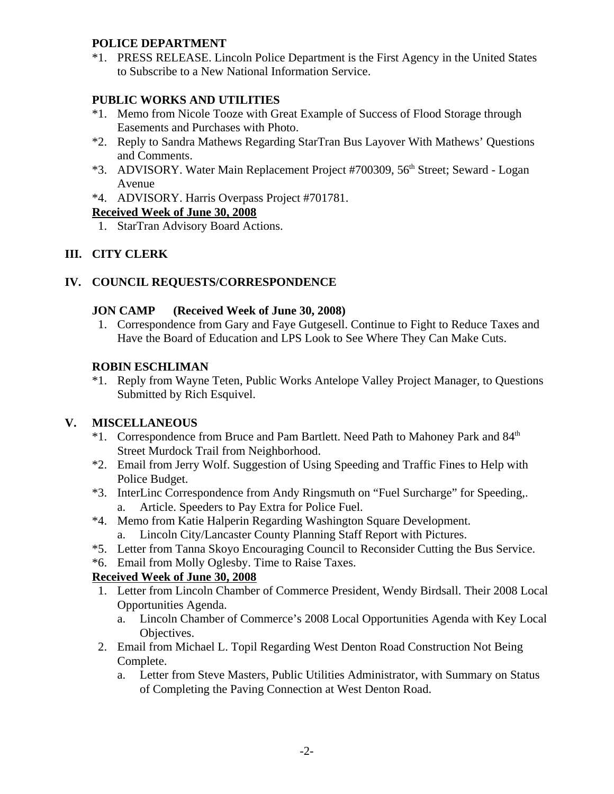#### **POLICE DEPARTMENT**

\*1. PRESS RELEASE. Lincoln Police Department is the First Agency in the United States to Subscribe to a New National Information Service.

## **PUBLIC WORKS AND UTILITIES**

- \*1. Memo from Nicole Tooze with Great Example of Success of Flood Storage through Easements and Purchases with Photo.
- \*2. Reply to Sandra Mathews Regarding StarTran Bus Layover With Mathews' Questions and Comments.
- \*3. ADVISORY. Water Main Replacement Project #700309, 56<sup>th</sup> Street; Seward Logan Avenue
- \*4. ADVISORY. Harris Overpass Project #701781.

## **Received Week of June 30, 2008**

1. StarTran Advisory Board Actions.

# **III. CITY CLERK**

## **IV. COUNCIL REQUESTS/CORRESPONDENCE**

## **JON CAMP (Received Week of June 30, 2008)**

 1. Correspondence from Gary and Faye Gutgesell. Continue to Fight to Reduce Taxes and Have the Board of Education and LPS Look to See Where They Can Make Cuts.

## **ROBIN ESCHLIMAN**

\*1. Reply from Wayne Teten, Public Works Antelope Valley Project Manager, to Questions Submitted by Rich Esquivel.

# **V. MISCELLANEOUS**

- \*1. Correspondence from Bruce and Pam Bartlett. Need Path to Mahoney Park and 84<sup>th</sup> Street Murdock Trail from Neighborhood.
- \*2. Email from Jerry Wolf. Suggestion of Using Speeding and Traffic Fines to Help with Police Budget.
- \*3. InterLinc Correspondence from Andy Ringsmuth on "Fuel Surcharge" for Speeding,. a. Article. Speeders to Pay Extra for Police Fuel.
- \*4. Memo from Katie Halperin Regarding Washington Square Development.
	- a. Lincoln City/Lancaster County Planning Staff Report with Pictures.
- \*5. Letter from Tanna Skoyo Encouraging Council to Reconsider Cutting the Bus Service.
- \*6. Email from Molly Oglesby. Time to Raise Taxes.

## **Received Week of June 30, 2008**

- 1. Letter from Lincoln Chamber of Commerce President, Wendy Birdsall. Their 2008 Local Opportunities Agenda.
	- a. Lincoln Chamber of Commerce's 2008 Local Opportunities Agenda with Key Local Objectives.
- 2. Email from Michael L. Topil Regarding West Denton Road Construction Not Being Complete.
	- a. Letter from Steve Masters, Public Utilities Administrator, with Summary on Status of Completing the Paving Connection at West Denton Road.